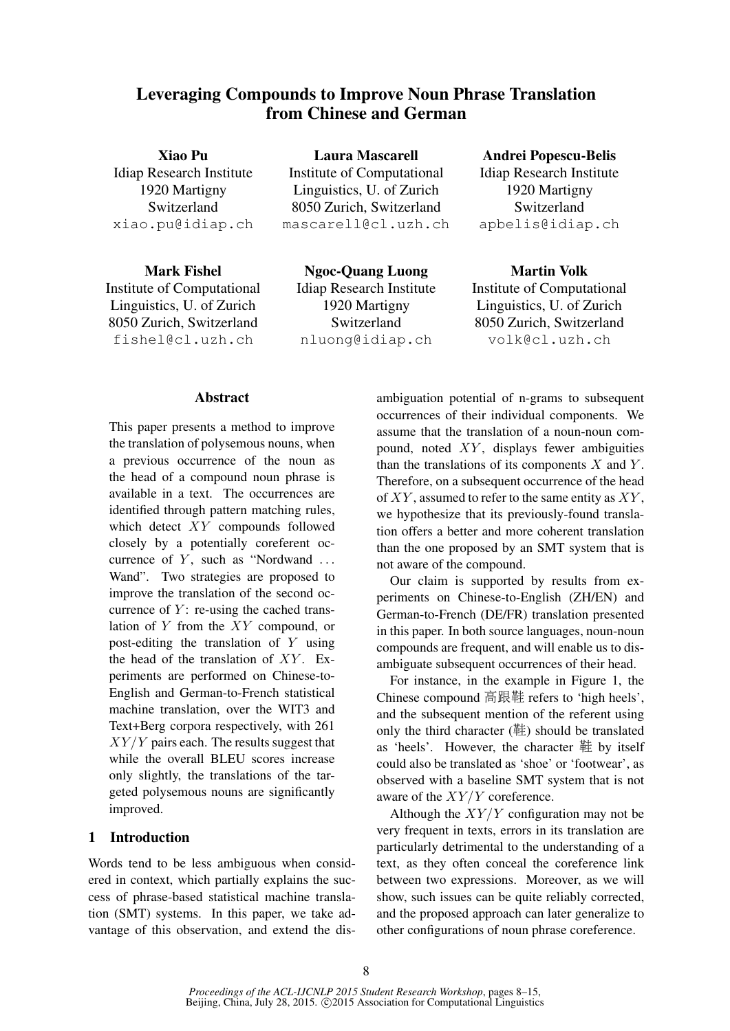# Leveraging Compounds to Improve Noun Phrase Translation from Chinese and German

Xiao Pu Idiap Research Institute 1920 Martigny Switzerland xiao.pu@idiap.ch

Mark Fishel Institute of Computational Linguistics, U. of Zurich 8050 Zurich, Switzerland fishel@cl.uzh.ch

Laura Mascarell Institute of Computational Linguistics, U. of Zurich 8050 Zurich, Switzerland mascarell@cl.uzh.ch

Ngoc-Quang Luong Idiap Research Institute 1920 Martigny Switzerland nluong@idiap.ch

# Andrei Popescu-Belis

Idiap Research Institute 1920 Martigny Switzerland apbelis@idiap.ch

Martin Volk Institute of Computational Linguistics, U. of Zurich 8050 Zurich, Switzerland volk@cl.uzh.ch

### Abstract

This paper presents a method to improve the translation of polysemous nouns, when a previous occurrence of the noun as the head of a compound noun phrase is available in a text. The occurrences are identified through pattern matching rules, which detect XY compounds followed closely by a potentially coreferent occurrence of  $Y$ , such as "Nordwand ... Wand". Two strategies are proposed to improve the translation of the second occurrence of  $Y$ : re-using the cached translation of  $Y$  from the  $XY$  compound, or post-editing the translation of Y using the head of the translation of  $XY$ . Experiments are performed on Chinese-to-English and German-to-French statistical machine translation, over the WIT3 and Text+Berg corpora respectively, with 261  $XY/Y$  pairs each. The results suggest that while the overall BLEU scores increase only slightly, the translations of the targeted polysemous nouns are significantly improved.

## 1 Introduction

Words tend to be less ambiguous when considered in context, which partially explains the success of phrase-based statistical machine translation (SMT) systems. In this paper, we take advantage of this observation, and extend the dis-

ambiguation potential of n-grams to subsequent occurrences of their individual components. We assume that the translation of a noun-noun compound, noted  $XY$ , displays fewer ambiguities than the translations of its components  $X$  and  $Y$ . Therefore, on a subsequent occurrence of the head of  $XY$ , assumed to refer to the same entity as  $XY$ , we hypothesize that its previously-found translation offers a better and more coherent translation than the one proposed by an SMT system that is not aware of the compound.

Our claim is supported by results from experiments on Chinese-to-English (ZH/EN) and German-to-French (DE/FR) translation presented in this paper. In both source languages, noun-noun compounds are frequent, and will enable us to disambiguate subsequent occurrences of their head.

For instance, in the example in Figure 1, the Chinese compound 高跟<sup>鞋</sup> refers to 'high heels', and the subsequent mention of the referent using only the third character (鞋) should be translated as 'heels'. However, the character 鞋 by itself could also be translated as 'shoe' or 'footwear', as observed with a baseline SMT system that is not aware of the  $XY/Y$  coreference.

Although the  $XY/Y$  configuration may not be very frequent in texts, errors in its translation are particularly detrimental to the understanding of a text, as they often conceal the coreference link between two expressions. Moreover, as we will show, such issues can be quite reliably corrected, and the proposed approach can later generalize to other configurations of noun phrase coreference.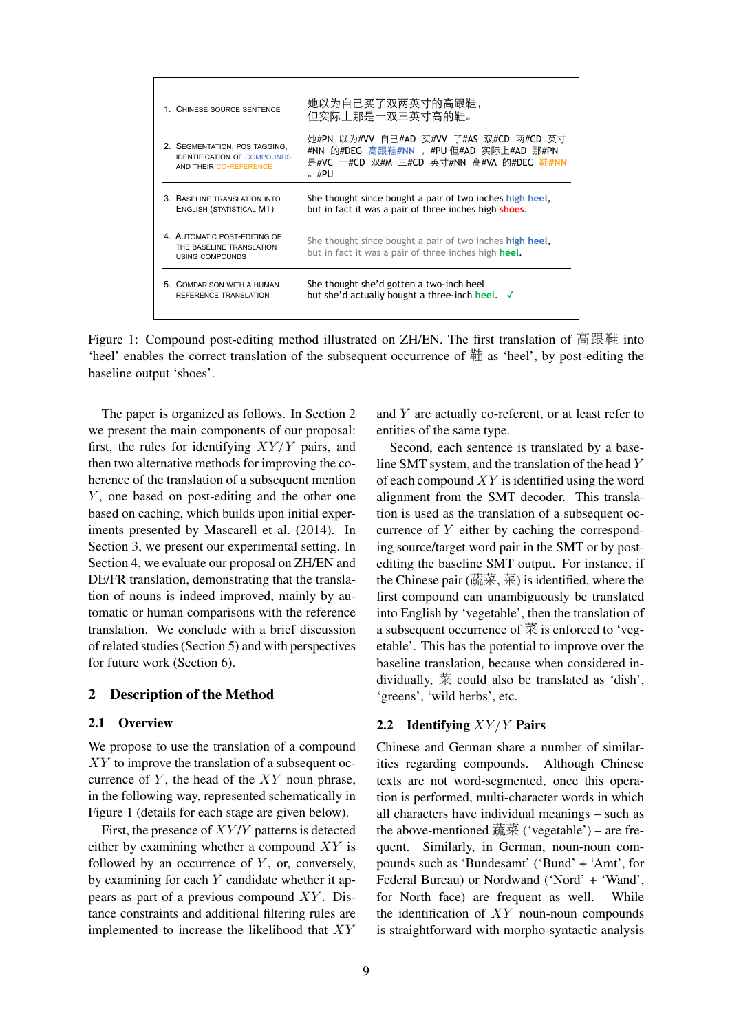| 1. CHINESE SOURCE SENTENCE                                                                    | 她以为自己买了双两英寸的高跟鞋,<br>但实际上那是一双三英寸高的鞋。                                                                                                   |  |  |  |  |
|-----------------------------------------------------------------------------------------------|---------------------------------------------------------------------------------------------------------------------------------------|--|--|--|--|
| 2. SEGMENTATION, POS TAGGING,<br><b>IDENTIFICATION OF COMPOUNDS</b><br>AND THEIR CO-REFERENCE | 她#PN 以为#VV 自己#AD 买#VV 了#AS 双#CD 两#CD 英寸<br>#NN 的#DEG 高跟鞋#NN , #PU但#AD 实际上#AD 那#PN<br>是#VC 一#CD 双#M 三#CD 英寸#NN 高#VA 的#DEC 鞋#NN<br>。#PU |  |  |  |  |
| 3 BASELINE TRANSLATION INTO<br>ENGLISH (STATISTICAL MT)                                       | She thought since bought a pair of two inches high heel,<br>but in fact it was a pair of three inches high shoes.                     |  |  |  |  |
| 4. AUTOMATIC POST-EDITING OF<br>THE BASELINE TRANSLATION<br><b>USING COMPOUNDS</b>            | She thought since bought a pair of two inches <b>high heel</b> ,<br>but in fact it was a pair of three inches high heel.              |  |  |  |  |
| COMPARISON WITH A HUMAN<br>5.<br>REFERENCE TRANSLATION                                        | She thought she'd gotten a two-inch heel<br>but she'd actually bought a three-inch heel. √                                            |  |  |  |  |

Figure 1: Compound post-editing method illustrated on ZH/EN. The first translation of 高跟<sup>鞋</sup> into 'heel' enables the correct translation of the subsequent occurrence of 鞋 as 'heel', by post-editing the baseline output 'shoes'.

The paper is organized as follows. In Section 2 we present the main components of our proposal: first, the rules for identifying  $XY/Y$  pairs, and then two alternative methods for improving the coherence of the translation of a subsequent mention Y, one based on post-editing and the other one based on caching, which builds upon initial experiments presented by Mascarell et al. (2014). In Section 3, we present our experimental setting. In Section 4, we evaluate our proposal on ZH/EN and DE/FR translation, demonstrating that the translation of nouns is indeed improved, mainly by automatic or human comparisons with the reference translation. We conclude with a brief discussion of related studies (Section 5) and with perspectives for future work (Section 6).

### 2 Description of the Method

### 2.1 Overview

We propose to use the translation of a compound XY to improve the translation of a subsequent occurrence of  $Y$ , the head of the  $XY$  noun phrase, in the following way, represented schematically in Figure 1 (details for each stage are given below).

First, the presence of  $XY/Y$  patterns is detected either by examining whether a compound  $XY$  is followed by an occurrence of  $Y$ , or, conversely, by examining for each  $Y$  candidate whether it appears as part of a previous compound  $XY$ . Distance constraints and additional filtering rules are implemented to increase the likelihood that XY

and Y are actually co-referent, or at least refer to entities of the same type.

Second, each sentence is translated by a baseline SMT system, and the translation of the head Y of each compound  $XY$  is identified using the word alignment from the SMT decoder. This translation is used as the translation of a subsequent occurrence of Y either by caching the corresponding source/target word pair in the SMT or by postediting the baseline SMT output. For instance, if the Chinese pair  $(\overline{\text{H}\ddot{\text{H}}}, \overline{\text{H}})$  is identified, where the first compound can unambiguously be translated into English by 'vegetable', then the translation of a subsequent occurrence of 菜 is enforced to 'vegetable'. This has the potential to improve over the baseline translation, because when considered individually, 菜 could also be translated as 'dish', 'greens', 'wild herbs', etc.

#### 2.2 Identifying  $XY/Y$  Pairs

Chinese and German share a number of similarities regarding compounds. Although Chinese texts are not word-segmented, once this operation is performed, multi-character words in which all characters have individual meanings – such as the above-mentioned 蔬菜 ('vegetable') – are frequent. Similarly, in German, noun-noun compounds such as 'Bundesamt' ('Bund' + 'Amt', for Federal Bureau) or Nordwand ('Nord' + 'Wand', for North face) are frequent as well. While the identification of  $XY$  noun-noun compounds is straightforward with morpho-syntactic analysis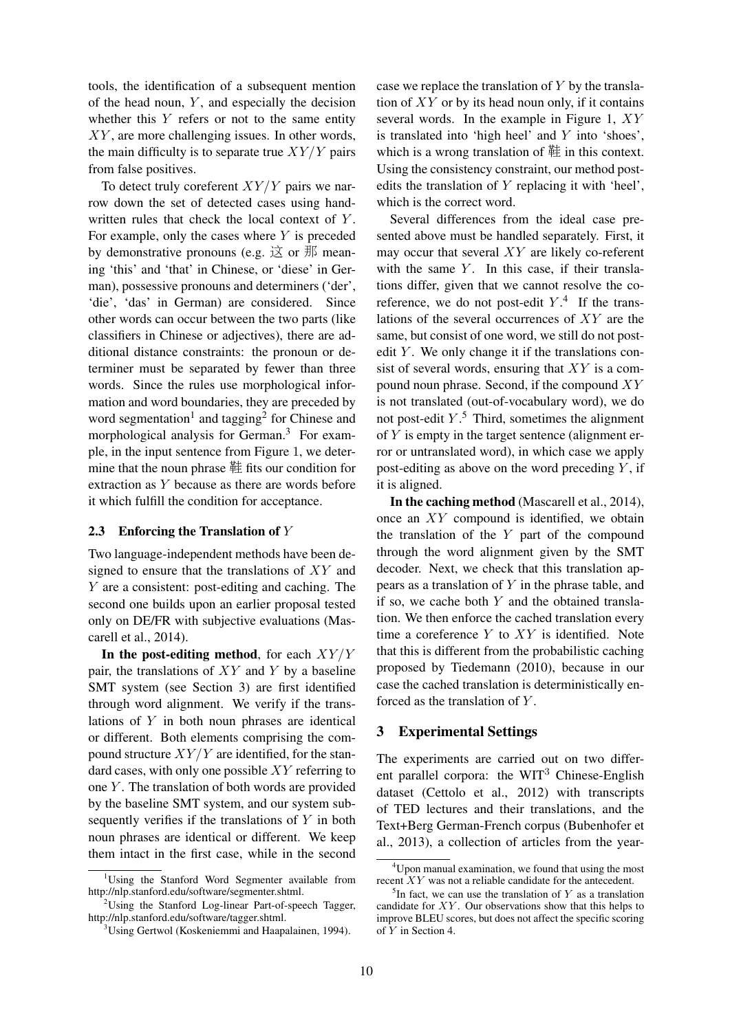tools, the identification of a subsequent mention of the head noun,  $Y$ , and especially the decision whether this  $Y$  refers or not to the same entity  $XY$ , are more challenging issues. In other words, the main difficulty is to separate true  $XY/Y$  pairs from false positives.

To detect truly coreferent  $XY/Y$  pairs we narrow down the set of detected cases using handwritten rules that check the local context of Y. For example, only the cases where  $Y$  is preceded by demonstrative pronouns (e.g.  $\dot{\boxtimes}$  or  $\ddot{\text{m}}$  meaning 'this' and 'that' in Chinese, or 'diese' in German), possessive pronouns and determiners ('der', 'die', 'das' in German) are considered. Since other words can occur between the two parts (like classifiers in Chinese or adjectives), there are additional distance constraints: the pronoun or determiner must be separated by fewer than three words. Since the rules use morphological information and word boundaries, they are preceded by word segmentation<sup>1</sup> and tagging<sup>2</sup> for Chinese and morphological analysis for German.<sup>3</sup> For example, in the input sentence from Figure 1, we determine that the noun phrase 鞋 fits our condition for extraction as Y because as there are words before it which fulfill the condition for acceptance.

#### 2.3 Enforcing the Translation of  $Y$

Two language-independent methods have been designed to ensure that the translations of XY and Y are a consistent: post-editing and caching. The second one builds upon an earlier proposal tested only on DE/FR with subjective evaluations (Mascarell et al., 2014).

In the post-editing method, for each  $XY/Y$ pair, the translations of  $XY$  and  $Y$  by a baseline SMT system (see Section 3) are first identified through word alignment. We verify if the translations of Y in both noun phrases are identical or different. Both elements comprising the compound structure  $XY/Y$  are identified, for the standard cases, with only one possible  $XY$  referring to one  $Y$ . The translation of both words are provided by the baseline SMT system, and our system subsequently verifies if the translations of Y in both noun phrases are identical or different. We keep them intact in the first case, while in the second

case we replace the translation of  $Y$  by the translation of  $XY$  or by its head noun only, if it contains several words. In the example in Figure 1, XY is translated into 'high heel' and Y into 'shoes', which is a wrong translation of  $#$  in this context. Using the consistency constraint, our method postedits the translation of Y replacing it with 'heel', which is the correct word.

Several differences from the ideal case presented above must be handled separately. First, it may occur that several XY are likely co-referent with the same  $Y$ . In this case, if their translations differ, given that we cannot resolve the coreference, we do not post-edit  $Y^A$ . If the translations of the several occurrences of XY are the same, but consist of one word, we still do not postedit  $Y$ . We only change it if the translations consist of several words, ensuring that  $XY$  is a compound noun phrase. Second, if the compound  $XY$ is not translated (out-of-vocabulary word), we do not post-edit  $Y$ .<sup>5</sup> Third, sometimes the alignment of  $Y$  is empty in the target sentence (alignment error or untranslated word), in which case we apply post-editing as above on the word preceding  $Y$ , if it is aligned.

In the caching method (Mascarell et al., 2014), once an XY compound is identified, we obtain the translation of the  $Y$  part of the compound through the word alignment given by the SMT decoder. Next, we check that this translation appears as a translation of  $Y$  in the phrase table, and if so, we cache both  $Y$  and the obtained translation. We then enforce the cached translation every time a coreference  $Y$  to  $XY$  is identified. Note that this is different from the probabilistic caching proposed by Tiedemann (2010), because in our case the cached translation is deterministically enforced as the translation of Y .

#### 3 Experimental Settings

The experiments are carried out on two different parallel corpora: the  $WIT<sup>3</sup>$  Chinese-English dataset (Cettolo et al., 2012) with transcripts of TED lectures and their translations, and the Text+Berg German-French corpus (Bubenhofer et al., 2013), a collection of articles from the year-

<sup>&</sup>lt;sup>1</sup>Using the Stanford Word Segmenter available from http://nlp.stanford.edu/software/segmenter.shtml.

 $2$ Using the Stanford Log-linear Part-of-speech Tagger, http://nlp.stanford.edu/software/tagger.shtml.

<sup>&</sup>lt;sup>3</sup>Using Gertwol (Koskeniemmi and Haapalainen, 1994).

<sup>4</sup>Upon manual examination, we found that using the most recent  $XY$  was not a reliable candidate for the antecedent.

 ${}^5$ In fact, we can use the translation of Y as a translation candidate for  $XY$ . Our observations show that this helps to improve BLEU scores, but does not affect the specific scoring of Y in Section 4.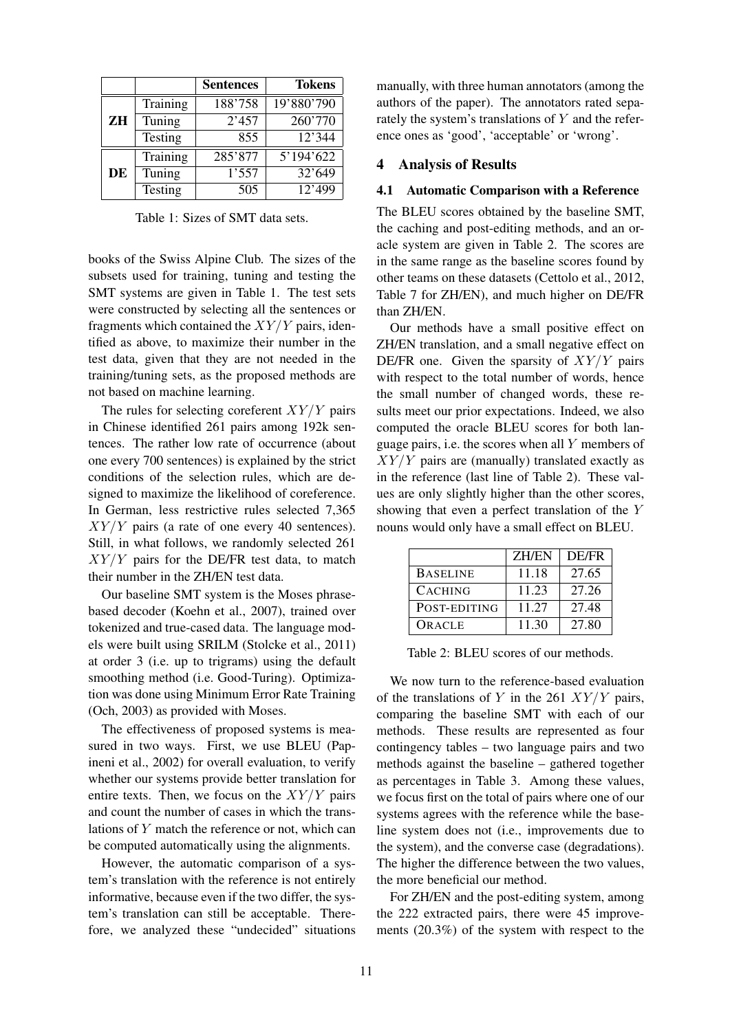|    |          | <b>Sentences</b> | <b>Tokens</b> |
|----|----------|------------------|---------------|
| ZH | Training | 188'758          | 19'880'790    |
|    | Tuning   | 2'457            | 260'770       |
|    | Testing  | 855              | 12'344        |
| DE | Training | 285'877          | 5'194'622     |
|    | Tuning   | 1'557            | 32'649        |
|    | Testing  | 505              | 12'499        |

Table 1: Sizes of SMT data sets.

books of the Swiss Alpine Club. The sizes of the subsets used for training, tuning and testing the SMT systems are given in Table 1. The test sets were constructed by selecting all the sentences or fragments which contained the  $XY/Y$  pairs, identified as above, to maximize their number in the test data, given that they are not needed in the training/tuning sets, as the proposed methods are not based on machine learning.

The rules for selecting coreferent  $XY/Y$  pairs in Chinese identified 261 pairs among 192k sentences. The rather low rate of occurrence (about one every 700 sentences) is explained by the strict conditions of the selection rules, which are designed to maximize the likelihood of coreference. In German, less restrictive rules selected 7,365  $XY/Y$  pairs (a rate of one every 40 sentences). Still, in what follows, we randomly selected 261  $XY/Y$  pairs for the DE/FR test data, to match their number in the ZH/EN test data.

Our baseline SMT system is the Moses phrasebased decoder (Koehn et al., 2007), trained over tokenized and true-cased data. The language models were built using SRILM (Stolcke et al., 2011) at order 3 (i.e. up to trigrams) using the default smoothing method (i.e. Good-Turing). Optimization was done using Minimum Error Rate Training (Och, 2003) as provided with Moses.

The effectiveness of proposed systems is measured in two ways. First, we use BLEU (Papineni et al., 2002) for overall evaluation, to verify whether our systems provide better translation for entire texts. Then, we focus on the  $XY/Y$  pairs and count the number of cases in which the translations of Y match the reference or not, which can be computed automatically using the alignments.

However, the automatic comparison of a system's translation with the reference is not entirely informative, because even if the two differ, the system's translation can still be acceptable. Therefore, we analyzed these "undecided" situations

manually, with three human annotators (among the authors of the paper). The annotators rated separately the system's translations of  $Y$  and the reference ones as 'good', 'acceptable' or 'wrong'.

#### 4 Analysis of Results

#### 4.1 Automatic Comparison with a Reference

The BLEU scores obtained by the baseline SMT, the caching and post-editing methods, and an oracle system are given in Table 2. The scores are in the same range as the baseline scores found by other teams on these datasets (Cettolo et al., 2012, Table 7 for ZH/EN), and much higher on DE/FR than ZH/EN.

Our methods have a small positive effect on ZH/EN translation, and a small negative effect on DE/FR one. Given the sparsity of  $XY/Y$  pairs with respect to the total number of words, hence the small number of changed words, these results meet our prior expectations. Indeed, we also computed the oracle BLEU scores for both language pairs, i.e. the scores when all  $Y$  members of  $XY/Y$  pairs are (manually) translated exactly as in the reference (last line of Table 2). These values are only slightly higher than the other scores, showing that even a perfect translation of the Y nouns would only have a small effect on BLEU.

|                 | <b>ZH/EN</b> | <b>DE/FR</b> |
|-----------------|--------------|--------------|
| <b>BASELINE</b> | 11.18        | 27.65        |
| <b>CACHING</b>  | 11.23        | 27.26        |
| POST-EDITING    | 11 27        | 27.48        |
| ORACLE          | 11.30        | 27.80        |

Table 2: BLEU scores of our methods.

We now turn to the reference-based evaluation of the translations of Y in the 261  $XY/Y$  pairs, comparing the baseline SMT with each of our methods. These results are represented as four contingency tables – two language pairs and two methods against the baseline – gathered together as percentages in Table 3. Among these values, we focus first on the total of pairs where one of our systems agrees with the reference while the baseline system does not (i.e., improvements due to the system), and the converse case (degradations). The higher the difference between the two values, the more beneficial our method.

For ZH/EN and the post-editing system, among the 222 extracted pairs, there were 45 improvements (20.3%) of the system with respect to the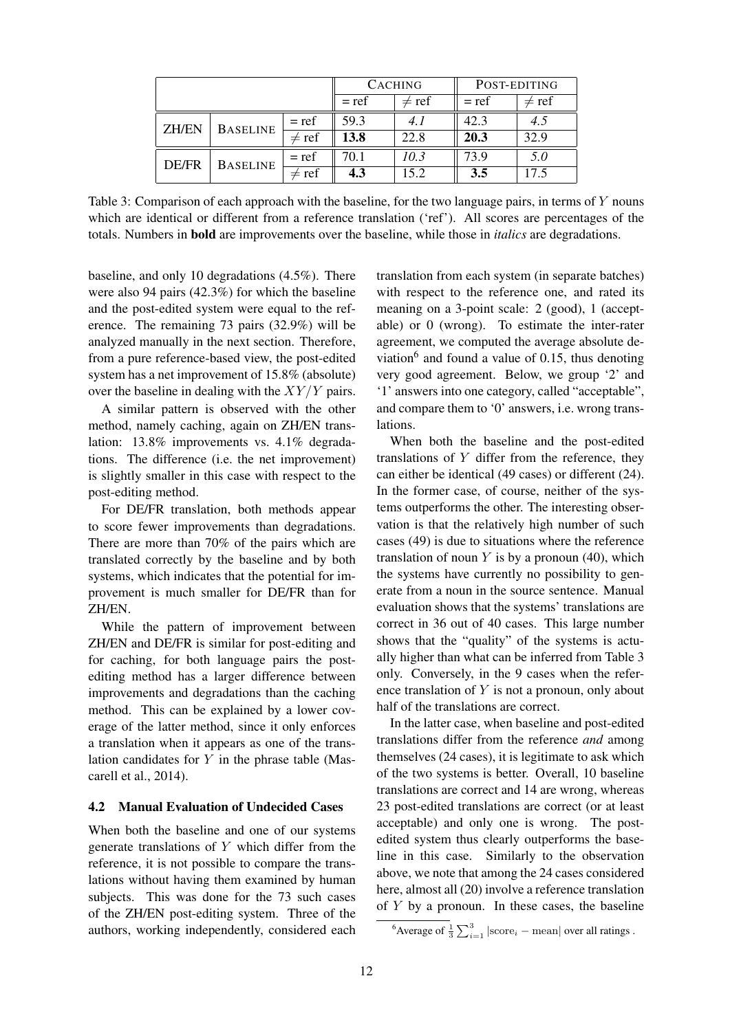|              |                 | <b>CACHING</b> |            | POST-EDITING |            |      |
|--------------|-----------------|----------------|------------|--------------|------------|------|
|              |                 | $= ref$        | $\neq$ ref | $= ref$      | $\neq$ ref |      |
| <b>ZH/EN</b> | <b>BASELINE</b> | $= ref$        | 59.3       | 4.1          | 42.3       | 4.5  |
|              |                 | $\neq$ ref     | 13.8       | 22.8         | 20.3       | 32.9 |
| DE/FR        | <b>BASELINE</b> | $= ref$        | 70.1       | 10.3         | 73.9       | 5.0  |
|              |                 | $\neq$ ref     | 4.3        | 15.2         | 3.5        | 17.5 |

Table 3: Comparison of each approach with the baseline, for the two language pairs, in terms of Y nouns which are identical or different from a reference translation ('ref'). All scores are percentages of the totals. Numbers in bold are improvements over the baseline, while those in *italics* are degradations.

baseline, and only 10 degradations (4.5%). There were also 94 pairs (42.3%) for which the baseline and the post-edited system were equal to the reference. The remaining 73 pairs (32.9%) will be analyzed manually in the next section. Therefore, from a pure reference-based view, the post-edited system has a net improvement of 15.8% (absolute) over the baseline in dealing with the  $XY/Y$  pairs.

A similar pattern is observed with the other method, namely caching, again on ZH/EN translation: 13.8% improvements vs. 4.1% degradations. The difference (i.e. the net improvement) is slightly smaller in this case with respect to the post-editing method.

For DE/FR translation, both methods appear to score fewer improvements than degradations. There are more than 70% of the pairs which are translated correctly by the baseline and by both systems, which indicates that the potential for improvement is much smaller for DE/FR than for ZH/EN.

While the pattern of improvement between ZH/EN and DE/FR is similar for post-editing and for caching, for both language pairs the postediting method has a larger difference between improvements and degradations than the caching method. This can be explained by a lower coverage of the latter method, since it only enforces a translation when it appears as one of the translation candidates for  $Y$  in the phrase table (Mascarell et al., 2014).

#### 4.2 Manual Evaluation of Undecided Cases

When both the baseline and one of our systems generate translations of Y which differ from the reference, it is not possible to compare the translations without having them examined by human subjects. This was done for the 73 such cases of the ZH/EN post-editing system. Three of the authors, working independently, considered each

translation from each system (in separate batches) with respect to the reference one, and rated its meaning on a 3-point scale: 2 (good), 1 (acceptable) or 0 (wrong). To estimate the inter-rater agreement, we computed the average absolute deviation<sup>6</sup> and found a value of 0.15, thus denoting very good agreement. Below, we group '2' and '1' answers into one category, called "acceptable", and compare them to '0' answers, i.e. wrong translations.

When both the baseline and the post-edited translations of  $Y$  differ from the reference, they can either be identical (49 cases) or different (24). In the former case, of course, neither of the systems outperforms the other. The interesting observation is that the relatively high number of such cases (49) is due to situations where the reference translation of noun  $Y$  is by a pronoun (40), which the systems have currently no possibility to generate from a noun in the source sentence. Manual evaluation shows that the systems' translations are correct in 36 out of 40 cases. This large number shows that the "quality" of the systems is actually higher than what can be inferred from Table 3 only. Conversely, in the 9 cases when the reference translation of  $Y$  is not a pronoun, only about half of the translations are correct.

In the latter case, when baseline and post-edited translations differ from the reference *and* among themselves (24 cases), it is legitimate to ask which of the two systems is better. Overall, 10 baseline translations are correct and 14 are wrong, whereas 23 post-edited translations are correct (or at least acceptable) and only one is wrong. The postedited system thus clearly outperforms the baseline in this case. Similarly to the observation above, we note that among the 24 cases considered here, almost all (20) involve a reference translation of  $Y$  by a pronoun. In these cases, the baseline

<sup>&</sup>lt;sup>6</sup>Average of  $\frac{1}{3}\sum_{i=1}^{3} |\text{score}_i - \text{mean}|$  over all ratings.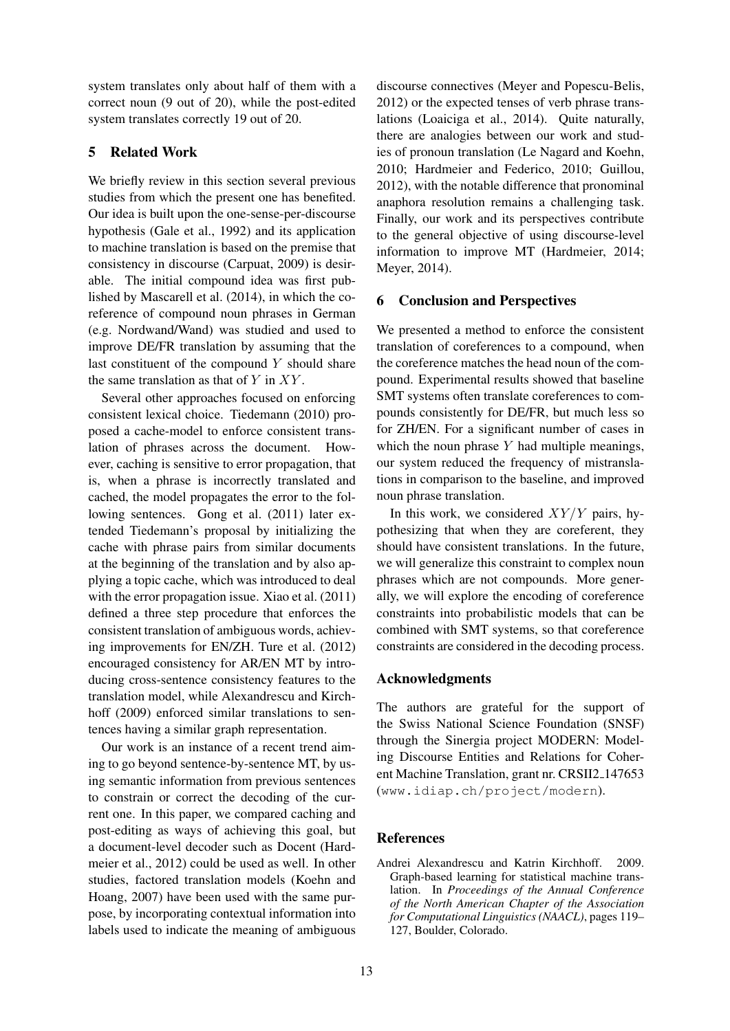system translates only about half of them with a correct noun (9 out of 20), while the post-edited system translates correctly 19 out of 20.

## 5 Related Work

We briefly review in this section several previous studies from which the present one has benefited. Our idea is built upon the one-sense-per-discourse hypothesis (Gale et al., 1992) and its application to machine translation is based on the premise that consistency in discourse (Carpuat, 2009) is desirable. The initial compound idea was first published by Mascarell et al. (2014), in which the coreference of compound noun phrases in German (e.g. Nordwand/Wand) was studied and used to improve DE/FR translation by assuming that the last constituent of the compound  $Y$  should share the same translation as that of  $Y$  in  $XY$ .

Several other approaches focused on enforcing consistent lexical choice. Tiedemann (2010) proposed a cache-model to enforce consistent translation of phrases across the document. However, caching is sensitive to error propagation, that is, when a phrase is incorrectly translated and cached, the model propagates the error to the following sentences. Gong et al. (2011) later extended Tiedemann's proposal by initializing the cache with phrase pairs from similar documents at the beginning of the translation and by also applying a topic cache, which was introduced to deal with the error propagation issue. Xiao et al. (2011) defined a three step procedure that enforces the consistent translation of ambiguous words, achieving improvements for EN/ZH. Ture et al. (2012) encouraged consistency for AR/EN MT by introducing cross-sentence consistency features to the translation model, while Alexandrescu and Kirchhoff (2009) enforced similar translations to sentences having a similar graph representation.

Our work is an instance of a recent trend aiming to go beyond sentence-by-sentence MT, by using semantic information from previous sentences to constrain or correct the decoding of the current one. In this paper, we compared caching and post-editing as ways of achieving this goal, but a document-level decoder such as Docent (Hardmeier et al., 2012) could be used as well. In other studies, factored translation models (Koehn and Hoang, 2007) have been used with the same purpose, by incorporating contextual information into labels used to indicate the meaning of ambiguous

discourse connectives (Meyer and Popescu-Belis, 2012) or the expected tenses of verb phrase translations (Loaiciga et al., 2014). Quite naturally, there are analogies between our work and studies of pronoun translation (Le Nagard and Koehn, 2010; Hardmeier and Federico, 2010; Guillou, 2012), with the notable difference that pronominal anaphora resolution remains a challenging task. Finally, our work and its perspectives contribute to the general objective of using discourse-level information to improve MT (Hardmeier, 2014; Meyer, 2014).

## 6 Conclusion and Perspectives

We presented a method to enforce the consistent translation of coreferences to a compound, when the coreference matches the head noun of the compound. Experimental results showed that baseline SMT systems often translate coreferences to compounds consistently for DE/FR, but much less so for ZH/EN. For a significant number of cases in which the noun phrase  $Y$  had multiple meanings, our system reduced the frequency of mistranslations in comparison to the baseline, and improved noun phrase translation.

In this work, we considered  $XY/Y$  pairs, hypothesizing that when they are coreferent, they should have consistent translations. In the future, we will generalize this constraint to complex noun phrases which are not compounds. More generally, we will explore the encoding of coreference constraints into probabilistic models that can be combined with SMT systems, so that coreference constraints are considered in the decoding process.

## Acknowledgments

The authors are grateful for the support of the Swiss National Science Foundation (SNSF) through the Sinergia project MODERN: Modeling Discourse Entities and Relations for Coherent Machine Translation, grant nr. CRSII2<sub>-147653</sub> (www.idiap.ch/project/modern).

# **References**

Andrei Alexandrescu and Katrin Kirchhoff. 2009. Graph-based learning for statistical machine translation. In *Proceedings of the Annual Conference of the North American Chapter of the Association for Computational Linguistics (NAACL)*, pages 119– 127, Boulder, Colorado.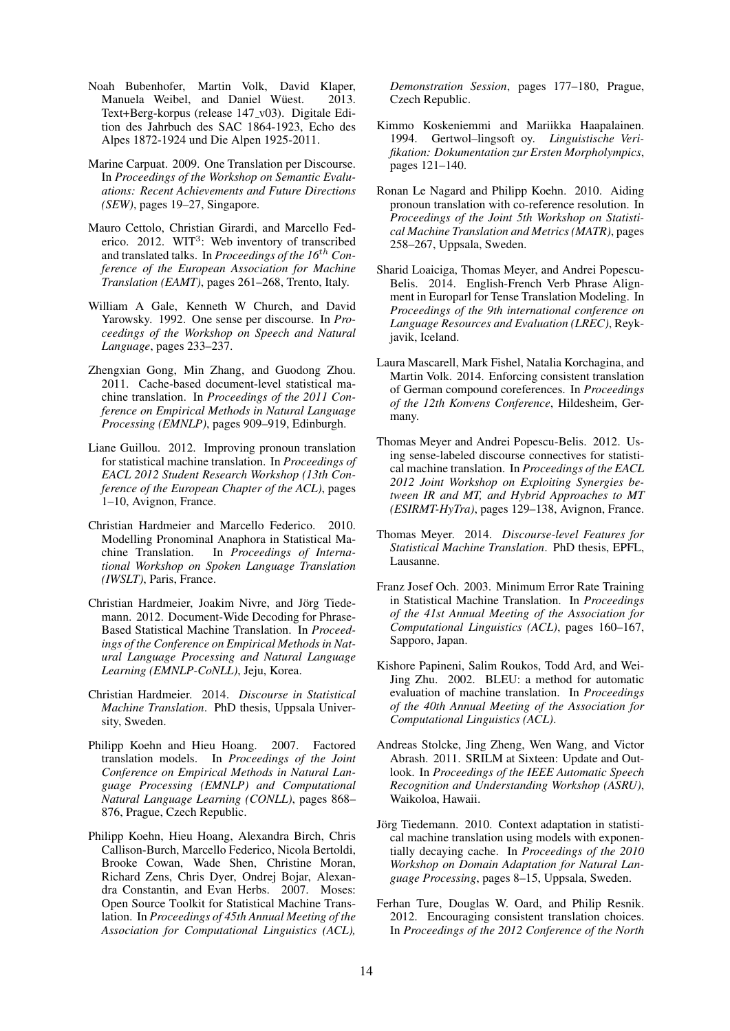- Noah Bubenhofer, Martin Volk, David Klaper, Manuela Weibel, and Daniel Wüest. 2013. Text+Berg-korpus (release 147\_v03). Digitale Edition des Jahrbuch des SAC 1864-1923, Echo des Alpes 1872-1924 und Die Alpen 1925-2011.
- Marine Carpuat. 2009. One Translation per Discourse. In *Proceedings of the Workshop on Semantic Evaluations: Recent Achievements and Future Directions (SEW)*, pages 19–27, Singapore.
- Mauro Cettolo, Christian Girardi, and Marcello Federico. 2012. WIT<sup>3</sup>: Web inventory of transcribed and translated talks. In *Proceedings of the 16*th *Conference of the European Association for Machine Translation (EAMT)*, pages 261–268, Trento, Italy.
- William A Gale, Kenneth W Church, and David Yarowsky. 1992. One sense per discourse. In *Proceedings of the Workshop on Speech and Natural Language*, pages 233–237.
- Zhengxian Gong, Min Zhang, and Guodong Zhou. 2011. Cache-based document-level statistical machine translation. In *Proceedings of the 2011 Conference on Empirical Methods in Natural Language Processing (EMNLP)*, pages 909–919, Edinburgh.
- Liane Guillou. 2012. Improving pronoun translation for statistical machine translation. In *Proceedings of EACL 2012 Student Research Workshop (13th Conference of the European Chapter of the ACL)*, pages 1–10, Avignon, France.
- Christian Hardmeier and Marcello Federico. 2010. Modelling Pronominal Anaphora in Statistical Machine Translation. In *Proceedings of International Workshop on Spoken Language Translation (IWSLT)*, Paris, France.
- Christian Hardmeier, Joakim Nivre, and Jörg Tiedemann. 2012. Document-Wide Decoding for Phrase-Based Statistical Machine Translation. In *Proceedings of the Conference on Empirical Methods in Natural Language Processing and Natural Language Learning (EMNLP-CoNLL)*, Jeju, Korea.
- Christian Hardmeier. 2014. *Discourse in Statistical Machine Translation*. PhD thesis, Uppsala University, Sweden.
- Philipp Koehn and Hieu Hoang. 2007. Factored translation models. In *Proceedings of the Joint Conference on Empirical Methods in Natural Language Processing (EMNLP) and Computational Natural Language Learning (CONLL)*, pages 868– 876, Prague, Czech Republic.
- Philipp Koehn, Hieu Hoang, Alexandra Birch, Chris Callison-Burch, Marcello Federico, Nicola Bertoldi, Brooke Cowan, Wade Shen, Christine Moran, Richard Zens, Chris Dyer, Ondrej Bojar, Alexandra Constantin, and Evan Herbs. 2007. Moses: Open Source Toolkit for Statistical Machine Translation. In *Proceedings of 45th Annual Meeting of the Association for Computational Linguistics (ACL),*

*Demonstration Session*, pages 177–180, Prague, Czech Republic.

- Kimmo Koskeniemmi and Mariikka Haapalainen. 1994. Gertwol–lingsoft oy. *Linguistische Verifikation: Dokumentation zur Ersten Morpholympics*, pages 121–140.
- Ronan Le Nagard and Philipp Koehn. 2010. Aiding pronoun translation with co-reference resolution. In *Proceedings of the Joint 5th Workshop on Statistical Machine Translation and Metrics (MATR)*, pages 258–267, Uppsala, Sweden.
- Sharid Loaiciga, Thomas Meyer, and Andrei Popescu-Belis. 2014. English-French Verb Phrase Alignment in Europarl for Tense Translation Modeling. In *Proceedings of the 9th international conference on Language Resources and Evaluation (LREC)*, Reykjavik, Iceland.
- Laura Mascarell, Mark Fishel, Natalia Korchagina, and Martin Volk. 2014. Enforcing consistent translation of German compound coreferences. In *Proceedings of the 12th Konvens Conference*, Hildesheim, Germany.
- Thomas Meyer and Andrei Popescu-Belis. 2012. Using sense-labeled discourse connectives for statistical machine translation. In *Proceedings of the EACL 2012 Joint Workshop on Exploiting Synergies between IR and MT, and Hybrid Approaches to MT (ESIRMT-HyTra)*, pages 129–138, Avignon, France.
- Thomas Meyer. 2014. *Discourse-level Features for Statistical Machine Translation*. PhD thesis, EPFL, Lausanne.
- Franz Josef Och. 2003. Minimum Error Rate Training in Statistical Machine Translation. In *Proceedings of the 41st Annual Meeting of the Association for Computational Linguistics (ACL)*, pages 160–167, Sapporo, Japan.
- Kishore Papineni, Salim Roukos, Todd Ard, and Wei-Jing Zhu. 2002. BLEU: a method for automatic evaluation of machine translation. In *Proceedings of the 40th Annual Meeting of the Association for Computational Linguistics (ACL)*.
- Andreas Stolcke, Jing Zheng, Wen Wang, and Victor Abrash. 2011. SRILM at Sixteen: Update and Outlook. In *Proceedings of the IEEE Automatic Speech Recognition and Understanding Workshop (ASRU)*, Waikoloa, Hawaii.
- Jörg Tiedemann. 2010. Context adaptation in statistical machine translation using models with exponentially decaying cache. In *Proceedings of the 2010 Workshop on Domain Adaptation for Natural Language Processing*, pages 8–15, Uppsala, Sweden.
- Ferhan Ture, Douglas W. Oard, and Philip Resnik. 2012. Encouraging consistent translation choices. In *Proceedings of the 2012 Conference of the North*